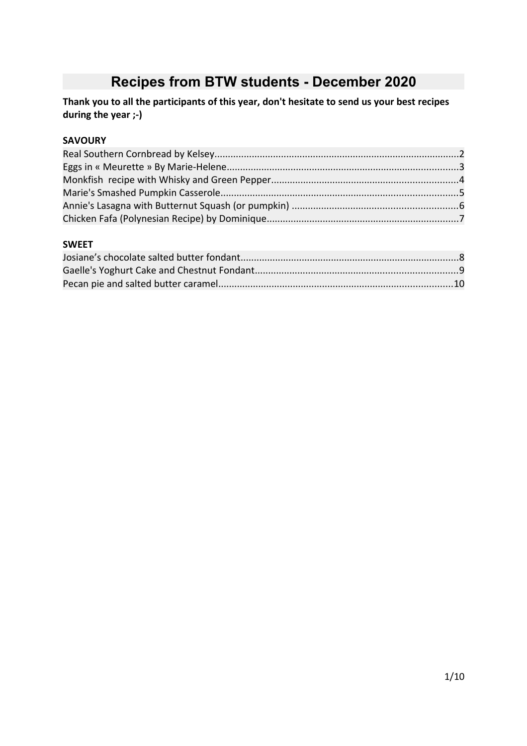# **Recipes from BTW students - December 2020**

**Thank you to all the participants of this year, don't hesitate to send us your best recipes during the year ;-)**

#### **SAVOURY**

#### **SWEET**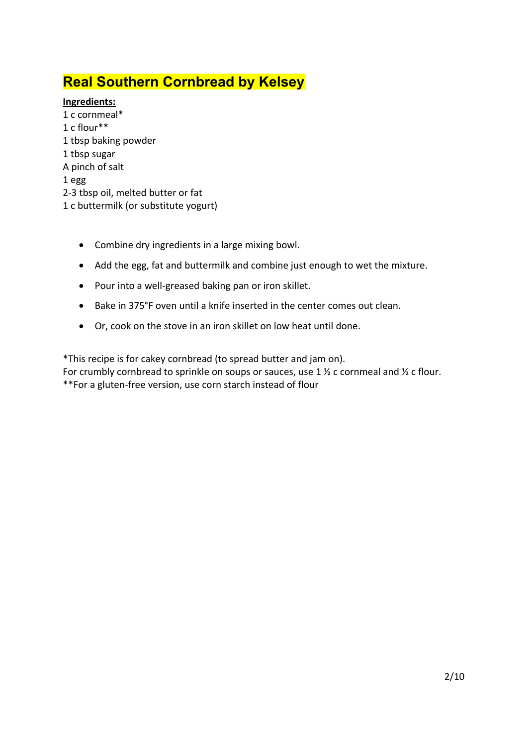# **Real Southern Cornbread by Kelsey**

### **Ingredients:**

- 1 c cornmeal\* 1 c flour\*\* 1 tbsp baking powder 1 tbsp sugar A pinch of salt 1 egg 2-3 tbsp oil, melted butter or fat 1 c buttermilk (or substitute yogurt)
	- Combine dry ingredients in a large mixing bowl.
	- Add the egg, fat and buttermilk and combine just enough to wet the mixture.
	- Pour into a well-greased baking pan or iron skillet.
	- Bake in 375°F oven until a knife inserted in the center comes out clean.
	- Or, cook on the stove in an iron skillet on low heat until done.

\*This recipe is for cakey cornbread (to spread butter and jam on).

For crumbly cornbread to sprinkle on soups or sauces, use 1  $\frac{1}{2}$  c cornmeal and  $\frac{1}{2}$  c flour. \*\*For a gluten-free version, use corn starch instead of flour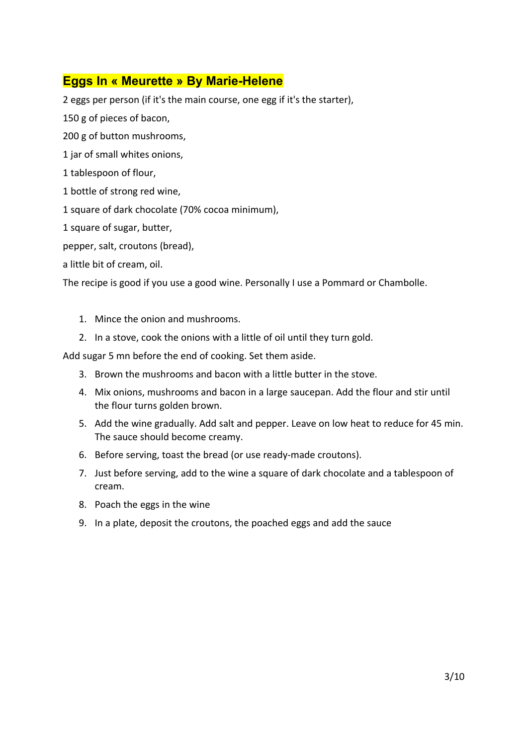### **Eggs In « Meurette » By Marie-Helene**

2 eggs per person (if it's the main course, one egg if it's the starter),

150 g of pieces of bacon,

200 g of button mushrooms,

1 jar of small whites onions,

1 tablespoon of flour,

1 bottle of strong red wine,

1 square of dark chocolate (70% cocoa minimum),

1 square of sugar, butter,

pepper, salt, croutons (bread),

a little bit of cream, oil.

The recipe is good if you use a good wine. Personally I use a Pommard or Chambolle.

- 1. Mince the onion and mushrooms.
- 2. In a stove, cook the onions with a little of oil until they turn gold.

Add sugar 5 mn before the end of cooking. Set them aside.

- 3. Brown the mushrooms and bacon with a little butter in the stove.
- 4. Mix onions, mushrooms and bacon in a large saucepan. Add the flour and stir until the flour turns golden brown.
- 5. Add the wine gradually. Add salt and pepper. Leave on low heat to reduce for 45 min. The sauce should become creamy.
- 6. Before serving, toast the bread (or use ready-made croutons).
- 7. Just before serving, add to the wine a square of dark chocolate and a tablespoon of cream.
- 8. Poach the eggs in the wine
- 9. In a plate, deposit the croutons, the poached eggs and add the sauce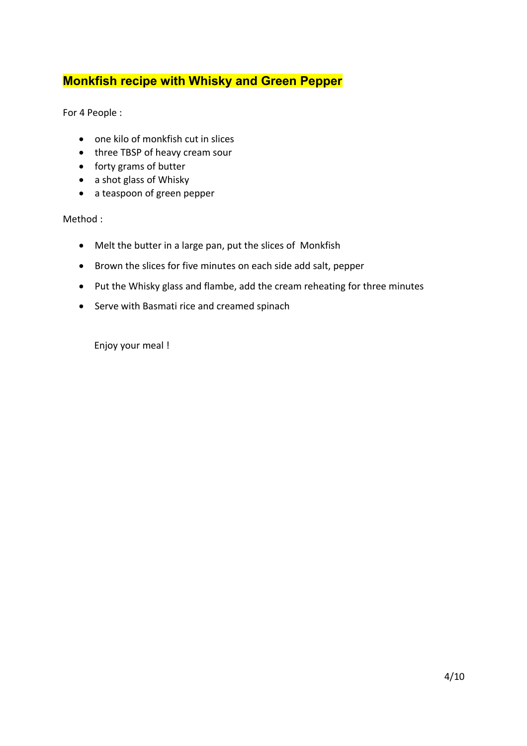### **Monkfish recipe with Whisky and Green Pepper**

For 4 People :

- one kilo of monkfish cut in slices
- three TBSP of heavy cream sour
- forty grams of butter
- a shot glass of Whisky
- a teaspoon of green pepper

Method :

- Melt the butter in a large pan, put the slices of Monkfish
- Brown the slices for five minutes on each side add salt, pepper
- Put the Whisky glass and flambe, add the cream reheating for three minutes
- Serve with Basmati rice and creamed spinach

Enjoy your meal !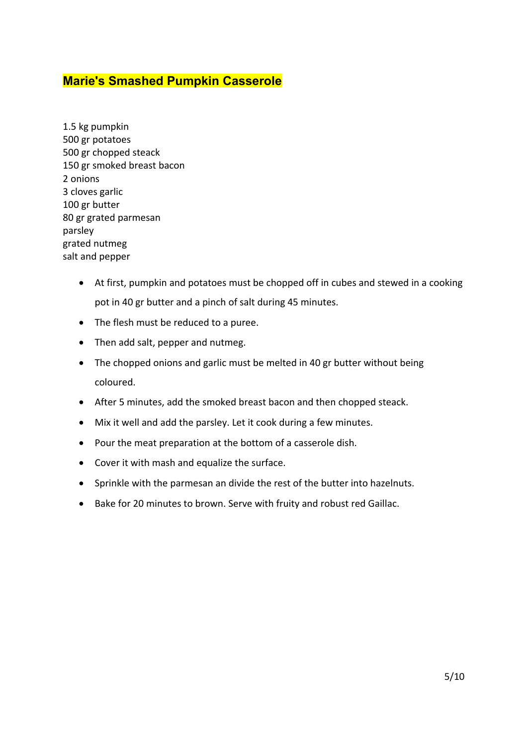### **Marie's Smashed Pumpkin Casserole**

1.5 kg pumpkin 500 gr potatoes 500 gr chopped steack 150 gr smoked breast bacon 2 onions 3 cloves garlic 100 gr butter 80 gr grated parmesan parsley grated nutmeg salt and pepper

- At first, pumpkin and potatoes must be chopped off in cubes and stewed in a cooking pot in 40 gr butter and a pinch of salt during 45 minutes.
- The flesh must be reduced to a puree.
- Then add salt, pepper and nutmeg.
- The chopped onions and garlic must be melted in 40 gr butter without being coloured.
- After 5 minutes, add the smoked breast bacon and then chopped steack.
- Mix it well and add the parsley. Let it cook during a few minutes.
- Pour the meat preparation at the bottom of a casserole dish.
- Cover it with mash and equalize the surface.
- Sprinkle with the parmesan an divide the rest of the butter into hazelnuts.
- Bake for 20 minutes to brown. Serve with fruity and robust red Gaillac.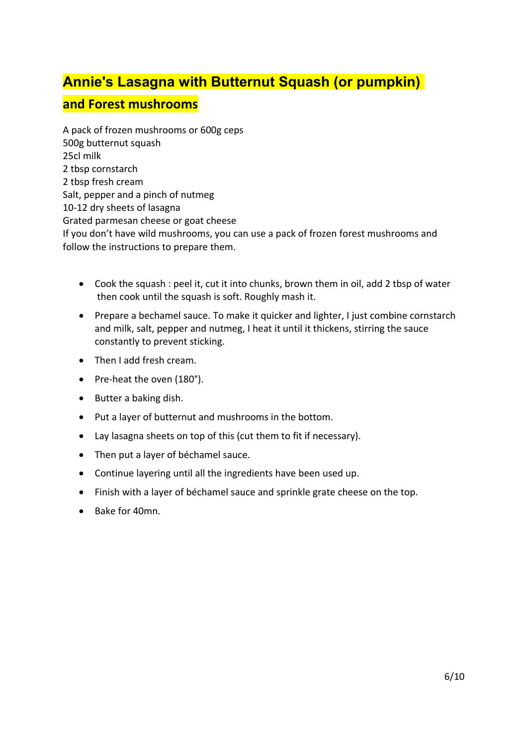# **Annie's Lasagna with Butternut Squash (or pumpkin)**

### **and Forest mushrooms**

A pack of frozen mushrooms or 600g ceps 500g butternut squash 25cl milk 2 tbsp cornstarch 2 tbsp fresh cream Salt, pepper and a pinch of nutmeg 10-12 dry sheets of lasagna Grated parmesan cheese or goat cheese If you don't have wild mushrooms, you can use a pack of frozen forest mushrooms and follow the instructions to prepare them.

- Cook the squash : peel it, cut it into chunks, brown them in oil, add 2 tbsp of water then cook until the squash is soft. Roughly mash it.
- Prepare a bechamel sauce. To make it quicker and lighter, I just combine cornstarch and milk, salt, pepper and nutmeg, I heat it until it thickens, stirring the sauce constantly to prevent sticking.
- Then I add fresh cream.
- Pre-heat the oven (180°).
- $\bullet$  Butter a baking dish.
- Put a layer of butternut and mushrooms in the bottom.
- Lay lasagna sheets on top of this (cut them to fit if necessary).
- Then put a layer of béchamel sauce.
- Continue layering until all the ingredients have been used up.
- Finish with a layer of béchamel sauce and sprinkle grate cheese on the top.
- $\bullet$  Bake for 40mn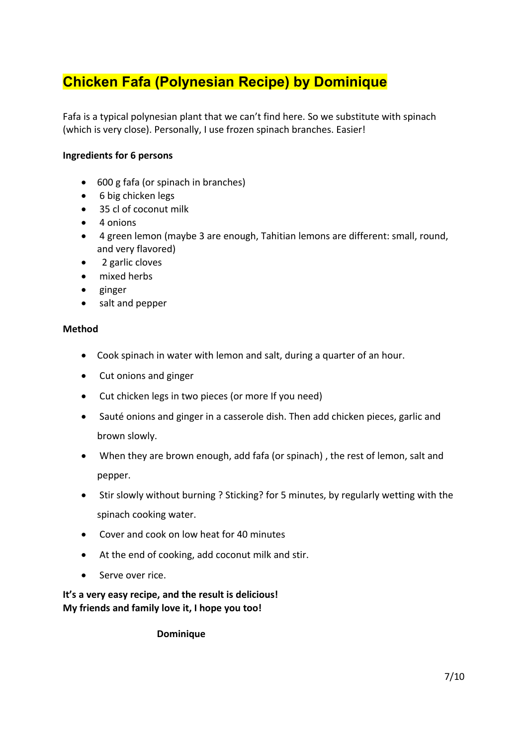# **Chicken Fafa (Polynesian Recipe) by Dominique**

Fafa is a typical polynesian plant that we can't find here. So we substitute with spinach (which is very close). Personally, I use frozen spinach branches. Easier!

### **Ingredients for 6 persons**

- 600 g fafa (or spinach in branches)
- 6 big chicken legs
- 35 cl of coconut milk
- $\bullet$  4 onions
- 4 green lemon (maybe 3 are enough, Tahitian lemons are different: small, round, and very flavored)
- 2 garlic cloves
- mixed herbs
- $\bullet$  ginger
- salt and pepper

#### **Method**

- Cook spinach in water with lemon and salt, during a quarter of an hour.
- Cut onions and ginger
- Cut chicken legs in two pieces (or more If you need)
- Sauté onions and ginger in a casserole dish. Then add chicken pieces, garlic and brown slowly.
- When they are brown enough, add fafa (or spinach) , the rest of lemon, salt and pepper.
- Stir slowly without burning ? Sticking? for 5 minutes, by regularly wetting with the spinach cooking water.
- Cover and cook on low heat for 40 minutes
- At the end of cooking, add coconut milk and stir.
- Serve over rice.

**It's a very easy recipe, and the result is delicious! My friends and family love it, I hope you too!**

**Dominique**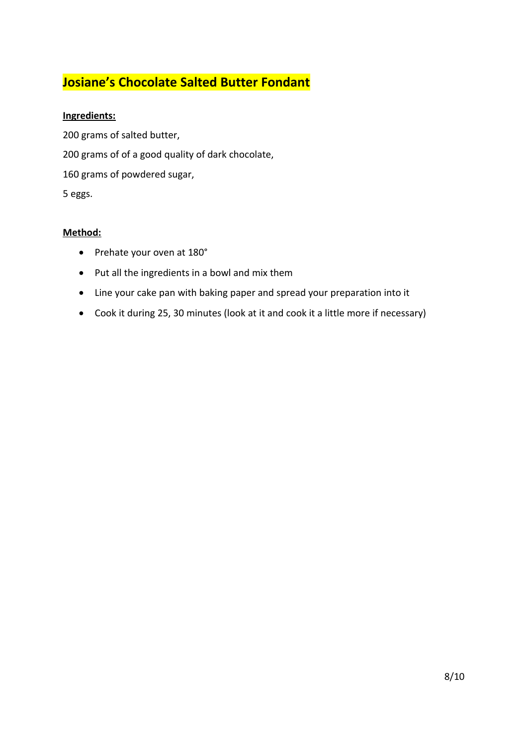## **Josiane's Chocolate Salted Butter Fondant**

### **Ingredients:**

200 grams of salted butter, 200 grams of of a good quality of dark chocolate, 160 grams of powdered sugar, 5 eggs.

#### **Method:**

- Prehate your oven at 180°
- Put all the ingredients in a bowl and mix them
- Line your cake pan with baking paper and spread your preparation into it
- Cook it during 25, 30 minutes (look at it and cook it a little more if necessary)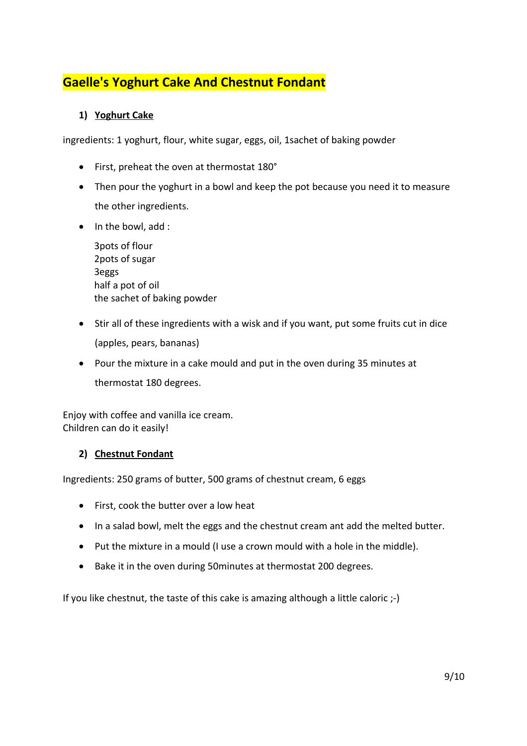## **Gaelle's Yoghurt Cake And Chestnut Fondant**

### **1) Yoghurt Cake**

ingredients: 1 yoghurt, flour, white sugar, eggs, oil, 1sachet of baking powder

- First, preheat the oven at thermostat 180°
- Then pour the yoghurt in a bowl and keep the pot because you need it to measure the other ingredients.
- In the bowl, add :

| 3 pots of flour             |
|-----------------------------|
| 2pots of sugar              |
| 3eggs                       |
| half a pot of oil           |
| the sachet of baking powder |

- Stir all of these ingredients with a wisk and if you want, put some fruits cut in dice (apples, pears, bananas)
- Pour the mixture in a cake mould and put in the oven during 35 minutes at thermostat 180 degrees.

Enjoy with coffee and vanilla ice cream. Children can do it easily!

### **2) Chestnut Fondant**

Ingredients: 250 grams of butter, 500 grams of chestnut cream, 6 eggs

- First, cook the butter over a low heat
- In a salad bowl, melt the eggs and the chestnut cream ant add the melted butter.
- Put the mixture in a mould (I use a crown mould with a hole in the middle).
- Bake it in the oven during 50minutes at thermostat 200 degrees.

If you like chestnut, the taste of this cake is amazing although a little caloric ;-)